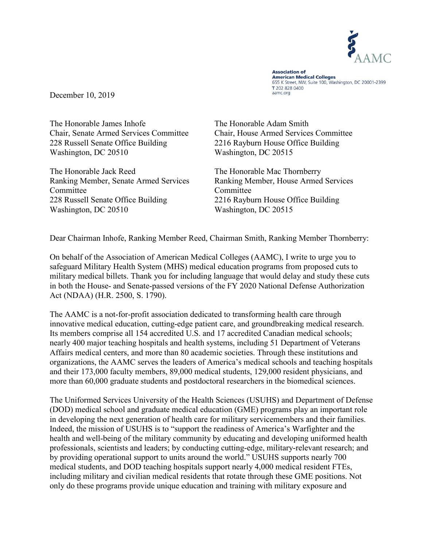

**Association of American Medical Colleges** 655 K Street, NW, Suite 100, Washington, DC 20001-2399 T 202 828 0400 aamc.org

December 10, 2019

The Honorable James Inhofe Chair, Senate Armed Services Committee 228 Russell Senate Office Building Washington, DC 20510

The Honorable Jack Reed Ranking Member, Senate Armed Services Committee 228 Russell Senate Office Building Washington, DC 20510

The Honorable Adam Smith Chair, House Armed Services Committee 2216 Rayburn House Office Building Washington, DC 20515

The Honorable Mac Thornberry Ranking Member, House Armed Services **Committee** 2216 Rayburn House Office Building Washington, DC 20515

Dear Chairman Inhofe, Ranking Member Reed, Chairman Smith, Ranking Member Thornberry:

On behalf of the Association of American Medical Colleges (AAMC), I write to urge you to safeguard Military Health System (MHS) medical education programs from proposed cuts to military medical billets. Thank you for including language that would delay and study these cuts in both the House- and Senate-passed versions of the FY 2020 National Defense Authorization Act (NDAA) (H.R. 2500, S. 1790).

The AAMC is a not-for-profit association dedicated to transforming health care through innovative medical education, cutting-edge patient care, and groundbreaking medical research. Its members comprise all 154 accredited U.S. and 17 accredited Canadian medical schools; nearly 400 major teaching hospitals and health systems, including 51 Department of Veterans Affairs medical centers, and more than 80 academic societies. Through these institutions and organizations, the AAMC serves the leaders of America's medical schools and teaching hospitals and their 173,000 faculty members, 89,000 medical students, 129,000 resident physicians, and more than 60,000 graduate students and postdoctoral researchers in the biomedical sciences.

The Uniformed Services University of the Health Sciences (USUHS) and Department of Defense (DOD) medical school and graduate medical education (GME) programs play an important role in developing the next generation of health care for military servicemembers and their families. Indeed, the mission of USUHS is to "support the readiness of America's Warfighter and the health and well-being of the military community by educating and developing uniformed health professionals, scientists and leaders; by conducting cutting-edge, military-relevant research; and by providing operational support to units around the world." USUHS supports nearly 700 medical students, and DOD teaching hospitals support nearly 4,000 medical resident FTEs, including military and civilian medical residents that rotate through these GME positions. Not only do these programs provide unique education and training with military exposure and